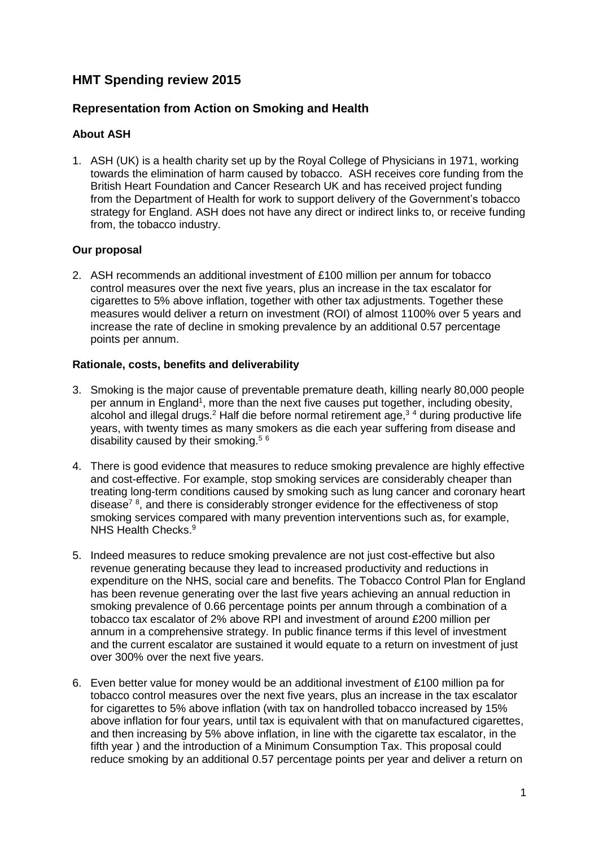# **HMT Spending review 2015**

### **Representation from Action on Smoking and Health**

### **About ASH**

1. ASH (UK) is a health charity set up by the Royal College of Physicians in 1971, working towards the elimination of harm caused by tobacco. ASH receives core funding from the British Heart Foundation and Cancer Research UK and has received project funding from the Department of Health for work to support delivery of the Government's tobacco strategy for England. ASH does not have any direct or indirect links to, or receive funding from, the tobacco industry.

### **Our proposal**

2. ASH recommends an additional investment of £100 million per annum for tobacco control measures over the next five years, plus an increase in the tax escalator for cigarettes to 5% above inflation, together with other tax adjustments. Together these measures would deliver a return on investment (ROI) of almost 1100% over 5 years and increase the rate of decline in smoking prevalence by an additional 0.57 percentage points per annum.

### **Rationale, costs, benefits and deliverability**

- 3. Smoking is the major cause of preventable premature death, killing nearly 80,000 people per annum in England<sup>1</sup>, more than the next five causes put together, including obesity, alcohol and illegal drugs.<sup>2</sup> Half die before normal retirement age,<sup>34</sup> during productive life years, with twenty times as many smokers as die each year suffering from disease and disability caused by their smoking.<sup>5 6</sup>
- 4. There is good evidence that measures to reduce smoking prevalence are highly effective and cost-effective. For example, stop smoking services are considerably cheaper than treating long-term conditions caused by smoking such as lung cancer and coronary heart disease<sup>78</sup>, and there is considerably stronger evidence for the effectiveness of stop smoking services compared with many prevention interventions such as, for example, NHS Health Checks.<sup>9</sup>
- 5. Indeed measures to reduce smoking prevalence are not just cost-effective but also revenue generating because they lead to increased productivity and reductions in expenditure on the NHS, social care and benefits. The Tobacco Control Plan for England has been revenue generating over the last five years achieving an annual reduction in smoking prevalence of 0.66 percentage points per annum through a combination of a tobacco tax escalator of 2% above RPI and investment of around £200 million per annum in a comprehensive strategy. In public finance terms if this level of investment and the current escalator are sustained it would equate to a return on investment of just over 300% over the next five years.
- 6. Even better value for money would be an additional investment of £100 million pa for tobacco control measures over the next five years, plus an increase in the tax escalator for cigarettes to 5% above inflation (with tax on handrolled tobacco increased by 15% above inflation for four years, until tax is equivalent with that on manufactured cigarettes, and then increasing by 5% above inflation, in line with the cigarette tax escalator, in the fifth year ) and the introduction of a Minimum Consumption Tax. This proposal could reduce smoking by an additional 0.57 percentage points per year and deliver a return on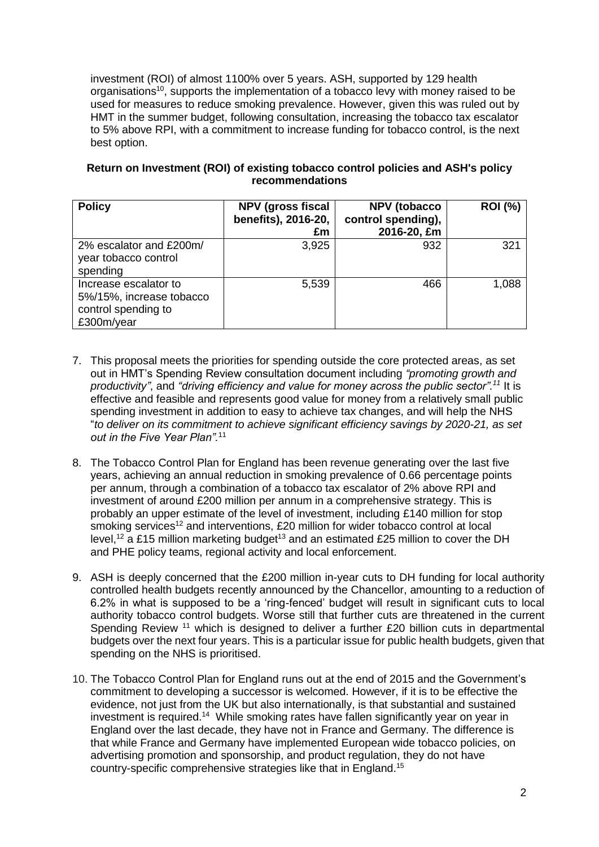investment (ROI) of almost 1100% over 5 years. ASH, supported by 129 health organisations<sup>10</sup>, supports the implementation of a tobacco levy with money raised to be used for measures to reduce smoking prevalence. However, given this was ruled out by HMT in the summer budget, following consultation, increasing the tobacco tax escalator to 5% above RPI, with a commitment to increase funding for tobacco control, is the next best option.

### **Return on Investment (ROI) of existing tobacco control policies and ASH's policy recommendations**

| <b>Policy</b>                                                                          | <b>NPV (gross fiscal</b><br>benefits), 2016-20,<br>£m | <b>NPV</b> (tobacco<br>control spending),<br>2016-20, £m | <b>ROI</b> (%) |
|----------------------------------------------------------------------------------------|-------------------------------------------------------|----------------------------------------------------------|----------------|
| 2% escalator and £200m/<br>year tobacco control<br>spending                            | 3,925                                                 | 932                                                      | 321            |
| Increase escalator to<br>5%/15%, increase tobacco<br>control spending to<br>£300m/year | 5,539                                                 | 466                                                      | 1,088          |

- <span id="page-1-0"></span>7. This proposal meets the priorities for spending outside the core protected areas, as set out in HMT's Spending Review consultation document including *"promoting growth and productivity"*, and *"driving efficiency and value for money across the public sector".<sup>11</sup>* It is effective and feasible and represents good value for money from a relatively small public spending investment in addition to easy to achieve tax changes, and will help the NHS "*to deliver on its commitment to achieve significant efficiency savings by 2020-21, as set out in the Five Year Plan".*[11](#page-1-0)
- 8. The Tobacco Control Plan for England has been revenue generating over the last five years, achieving an annual reduction in smoking prevalence of 0.66 percentage points per annum, through a combination of a tobacco tax escalator of 2% above RPI and investment of around £200 million per annum in a comprehensive strategy. This is probably an upper estimate of the level of investment, including £140 million for stop smoking services<sup>12</sup> and interventions, £20 million for wider tobacco control at local level,<sup>[12](#page-1-1)</sup> a £15 million marketing budget<sup>13</sup> and an estimated £25 million to cover the DH and PHE policy teams, regional activity and local enforcement.
- <span id="page-1-1"></span>9. ASH is deeply concerned that the £200 million in-year cuts to DH funding for local authority controlled health budgets recently announced by the Chancellor, amounting to a reduction of 6.2% in what is supposed to be a 'ring-fenced' budget will result in significant cuts to local authority tobacco control budgets. Worse still that further cuts are threatened in the current Spending Review<sup>[11](#page-1-0)</sup> which is designed to deliver a further £20 billion cuts in departmental budgets over the next four years. This is a particular issue for public health budgets, given that spending on the NHS is prioritised.
- <span id="page-1-2"></span>10. The Tobacco Control Plan for England runs out at the end of 2015 and the Government's commitment to developing a successor is welcomed. However, if it is to be effective the evidence, not just from the UK but also internationally, is that substantial and sustained investment is required.<sup>14</sup> While smoking rates have fallen significantly year on year in England over the last decade, they have not in France and Germany. The difference is that while France and Germany have implemented European wide tobacco policies, on advertising promotion and sponsorship, and product regulation, they do not have country-specific comprehensive strategies like that in England. 15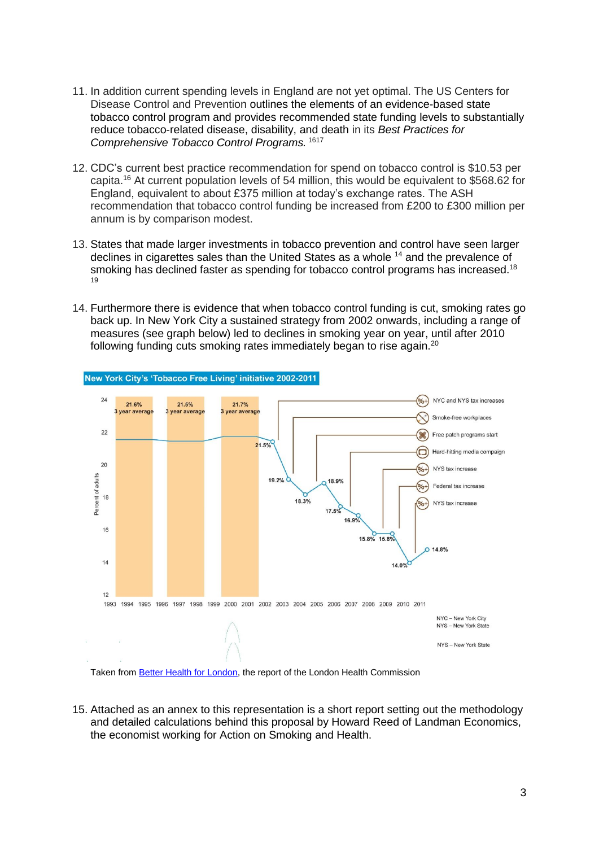- 11. In addition current spending levels in England are not yet optimal. The US Centers for Disease Control and Prevention outlines the elements of an evidence-based state tobacco control program and provides recommended state funding levels to substantially reduce tobacco-related disease, disability, and death in its *Best Practices for Comprehensive Tobacco Control Programs.* <sup>1617</sup>
- <span id="page-2-0"></span>12. CDC's current best practice recommendation for spend on tobacco control is \$10.53 per capita.[16](#page-2-0) At current population levels of 54 million, this would be equivalent to \$568.62 for England, equivalent to about £375 million at today's exchange rates. The ASH recommendation that tobacco control funding be increased from £200 to £300 million per annum is by comparison modest.
- 13. States that made larger investments in tobacco prevention and control have seen larger declines in cigarettes sales than the United States as a whole <sup>[14](#page-1-2)</sup> and the prevalence of smoking has declined faster as spending for tobacco control programs has increased.<sup>18</sup> 19
- 14. Furthermore there is evidence that when tobacco control funding is cut, smoking rates go back up. In New York City a sustained strategy from 2002 onwards, including a range of measures (see graph below) led to declines in smoking year on year, until after 2010 following funding cuts smoking rates immediately began to rise again.<sup>20</sup>



New York City's 'Tobacco Free Living' initiative 2002-2011

Taken from [Better Health for London,](http://www.londonhealthcommission.org.uk/wp-content/uploads/London-Health-Commission_Better-Health-for-London.pdf.) the report of the London Health Commission

15. Attached as an annex to this representation is a short report setting out the methodology and detailed calculations behind this proposal by Howard Reed of Landman Economics, the economist working for Action on Smoking and Health.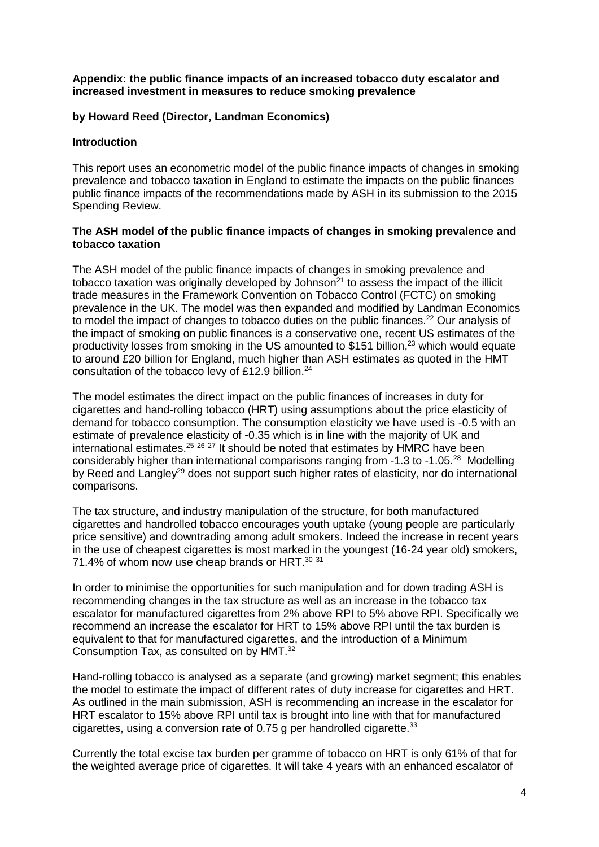#### **Appendix: the public finance impacts of an increased tobacco duty escalator and increased investment in measures to reduce smoking prevalence**

### **by Howard Reed (Director, Landman Economics)**

### **Introduction**

This report uses an econometric model of the public finance impacts of changes in smoking prevalence and tobacco taxation in England to estimate the impacts on the public finances public finance impacts of the recommendations made by ASH in its submission to the 2015 Spending Review.

#### **The ASH model of the public finance impacts of changes in smoking prevalence and tobacco taxation**

The ASH model of the public finance impacts of changes in smoking prevalence and tobacco taxation was originally developed by Johnson $^{21}$  to assess the impact of the illicit trade measures in the Framework Convention on Tobacco Control (FCTC) on smoking prevalence in the UK. The model was then expanded and modified by Landman Economics to model the impact of changes to tobacco duties on the public finances.<sup>22</sup> Our analysis of the impact of smoking on public finances is a conservative one, recent US estimates of the productivity losses from smoking in the US amounted to \$151 billion,<sup>23</sup> which would equate to around £20 billion for England, much higher than ASH estimates as quoted in the HMT consultation of the tobacco levy of £12.9 billion. 24

The model estimates the direct impact on the public finances of increases in duty for cigarettes and hand-rolling tobacco (HRT) using assumptions about the price elasticity of demand for tobacco consumption. The consumption elasticity we have used is -0.5 with an estimate of prevalence elasticity of -0.35 which is in line with the majority of UK and international estimates.<sup>25</sup> <sup>26</sup> <sup>27</sup> It should be noted that estimates by HMRC have been considerably higher than international comparisons ranging from -1.3 to -1.05.<sup>28</sup> Modelling by Reed and Langley<sup>29</sup> does not support such higher rates of elasticity, nor do international comparisons.

The tax structure, and industry manipulation of the structure, for both manufactured cigarettes and handrolled tobacco encourages youth uptake (young people are particularly price sensitive) and downtrading among adult smokers. Indeed the increase in recent years in the use of cheapest cigarettes is most marked in the youngest (16-24 year old) smokers, 71.4% of whom now use cheap brands or HRT. $30\,31$ 

In order to minimise the opportunities for such manipulation and for down trading ASH is recommending changes in the tax structure as well as an increase in the tobacco tax escalator for manufactured cigarettes from 2% above RPI to 5% above RPI. Specifically we recommend an increase the escalator for HRT to 15% above RPI until the tax burden is equivalent to that for manufactured cigarettes, and the introduction of a Minimum Consumption Tax, as consulted on by HMT. 32

<span id="page-3-0"></span>Hand-rolling tobacco is analysed as a separate (and growing) market segment; this enables the model to estimate the impact of different rates of duty increase for cigarettes and HRT. As outlined in the main submission, ASH is recommending an increase in the escalator for HRT escalator to 15% above RPI until tax is brought into line with that for manufactured cigarettes, using a conversion rate of 0.75 g per handrolled cigarette. $33$ 

Currently the total excise tax burden per gramme of tobacco on HRT is only 61% of that for the weighted average price of cigarettes. It will take 4 years with an enhanced escalator of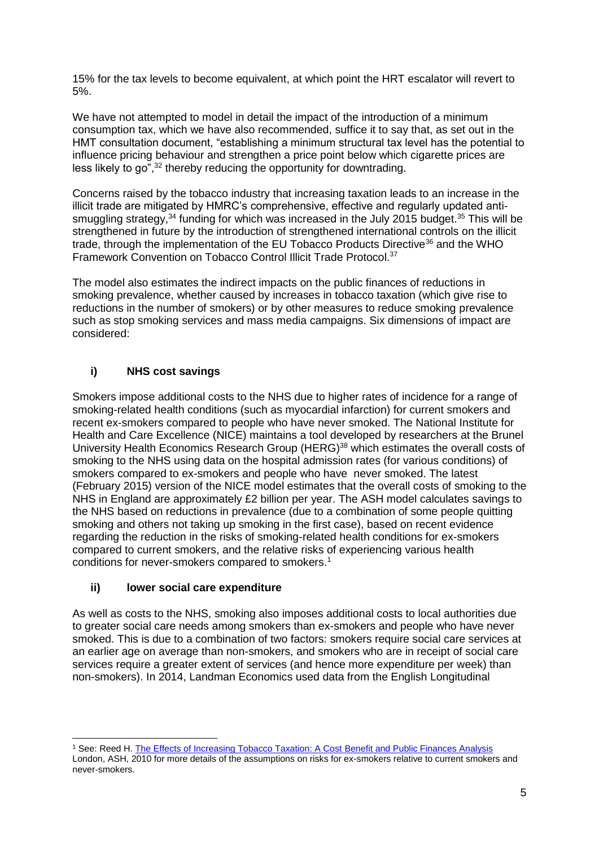15% for the tax levels to become equivalent, at which point the HRT escalator will revert to 5%.

We have not attempted to model in detail the impact of the introduction of a minimum consumption tax, which we have also recommended, suffice it to say that, as set out in the HMT consultation document, "establishing a minimum structural tax level has the potential to influence pricing behaviour and strengthen a price point below which cigarette prices are less likely to go",<sup>[32](#page-3-0)</sup> thereby reducing the opportunity for downtrading.

Concerns raised by the tobacco industry that increasing taxation leads to an increase in the illicit trade are mitigated by HMRC's comprehensive, effective and regularly updated antismuggling strategy,<sup>34</sup> funding for which was increased in the July 2015 budget.<sup>35</sup> This will be strengthened in future by the introduction of strengthened international controls on the illicit trade, through the implementation of the EU Tobacco Products Directive<sup>36</sup> and the WHO Framework Convention on Tobacco Control Illicit Trade Protocol.<sup>37</sup>

The model also estimates the indirect impacts on the public finances of reductions in smoking prevalence, whether caused by increases in tobacco taxation (which give rise to reductions in the number of smokers) or by other measures to reduce smoking prevalence such as stop smoking services and mass media campaigns. Six dimensions of impact are considered:

# **i) NHS cost savings**

Smokers impose additional costs to the NHS due to higher rates of incidence for a range of smoking-related health conditions (such as myocardial infarction) for current smokers and recent ex-smokers compared to people who have never smoked. The National Institute for Health and Care Excellence (NICE) maintains a tool developed by researchers at the Brunel University Health Economics Research Group (HERG)<sup>38</sup> which estimates the overall costs of smoking to the NHS using data on the hospital admission rates (for various conditions) of smokers compared to ex-smokers and people who have never smoked. The latest (February 2015) version of the NICE model estimates that the overall costs of smoking to the NHS in England are approximately £2 billion per year. The ASH model calculates savings to the NHS based on reductions in prevalence (due to a combination of some people quitting smoking and others not taking up smoking in the first case), based on recent evidence regarding the reduction in the risks of smoking-related health conditions for ex-smokers compared to current smokers, and the relative risks of experiencing various health conditions for never-smokers compared to smokers. 1

### **ii) lower social care expenditure**

As well as costs to the NHS, smoking also imposes additional costs to local authorities due to greater social care needs among smokers than ex-smokers and people who have never smoked. This is due to a combination of two factors: smokers require social care services at an earlier age on average than non-smokers, and smokers who are in receipt of social care services require a greater extent of services (and hence more expenditure per week) than non-smokers). In 2014, Landman Economics used data from the English Longitudinal

London, ASH, 2010 for more details of the assumptions on risks for ex-smokers relative to current smokers and never-smokers.

<sup>-</sup><sup>1</sup> See: Reed H. [The Effects of Increasing Tobacco Taxation: A Cost Benefit and Public Finances Analysis](http://www.ash.org.uk/tax/analysis)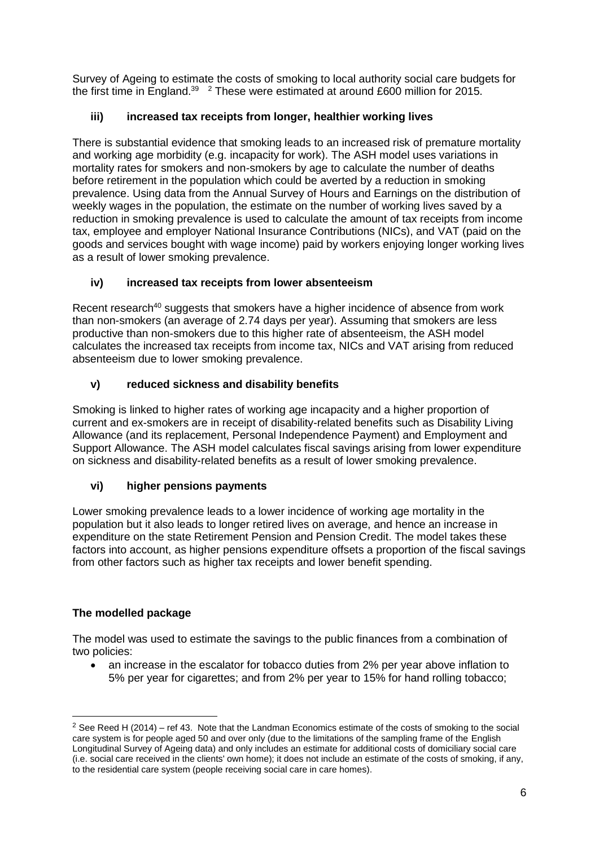Survey of Ageing to estimate the costs of smoking to local authority social care budgets for the first time in England.<sup>39</sup>  $\frac{2}{1}$  These were estimated at around £600 million for 2015.

# **iii) increased tax receipts from longer, healthier working lives**

There is substantial evidence that smoking leads to an increased risk of premature mortality and working age morbidity (e.g. incapacity for work). The ASH model uses variations in mortality rates for smokers and non-smokers by age to calculate the number of deaths before retirement in the population which could be averted by a reduction in smoking prevalence. Using data from the Annual Survey of Hours and Earnings on the distribution of weekly wages in the population, the estimate on the number of working lives saved by a reduction in smoking prevalence is used to calculate the amount of tax receipts from income tax, employee and employer National Insurance Contributions (NICs), and VAT (paid on the goods and services bought with wage income) paid by workers enjoying longer working lives as a result of lower smoking prevalence.

# **iv) increased tax receipts from lower absenteeism**

Recent research<sup>40</sup> suggests that smokers have a higher incidence of absence from work than non-smokers (an average of 2.74 days per year). Assuming that smokers are less productive than non-smokers due to this higher rate of absenteeism, the ASH model calculates the increased tax receipts from income tax, NICs and VAT arising from reduced absenteeism due to lower smoking prevalence.

# **v) reduced sickness and disability benefits**

Smoking is linked to higher rates of working age incapacity and a higher proportion of current and ex-smokers are in receipt of disability-related benefits such as Disability Living Allowance (and its replacement, Personal Independence Payment) and Employment and Support Allowance. The ASH model calculates fiscal savings arising from lower expenditure on sickness and disability-related benefits as a result of lower smoking prevalence.

# **vi) higher pensions payments**

Lower smoking prevalence leads to a lower incidence of working age mortality in the population but it also leads to longer retired lives on average, and hence an increase in expenditure on the state Retirement Pension and Pension Credit. The model takes these factors into account, as higher pensions expenditure offsets a proportion of the fiscal savings from other factors such as higher tax receipts and lower benefit spending.

### **The modelled package**

-

The model was used to estimate the savings to the public finances from a combination of two policies:

• an increase in the escalator for tobacco duties from 2% per year above inflation to 5% per year for cigarettes; and from 2% per year to 15% for hand rolling tobacco;

<sup>&</sup>lt;sup>2</sup> See Reed H (2014) – ref 43. Note that the Landman Economics estimate of the costs of smoking to the social care system is for people aged 50 and over only (due to the limitations of the sampling frame of the English Longitudinal Survey of Ageing data) and only includes an estimate for additional costs of domiciliary social care (i.e. social care received in the clients' own home); it does not include an estimate of the costs of smoking, if any, to the residential care system (people receiving social care in care homes).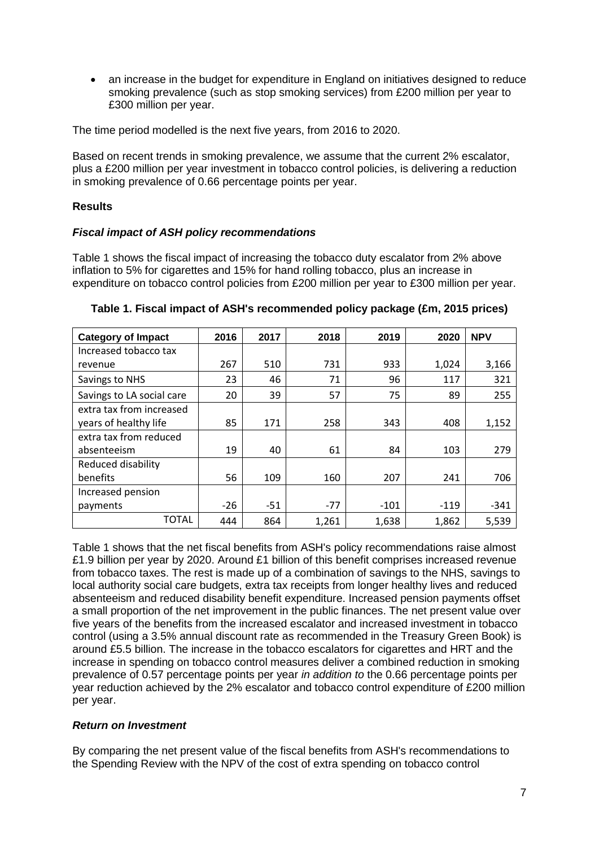an increase in the budget for expenditure in England on initiatives designed to reduce smoking prevalence (such as stop smoking services) from £200 million per year to £300 million per year.

The time period modelled is the next five years, from 2016 to 2020.

Based on recent trends in smoking prevalence, we assume that the current 2% escalator, plus a £200 million per year investment in tobacco control policies, is delivering a reduction in smoking prevalence of 0.66 percentage points per year.

### **Results**

### *Fiscal impact of ASH policy recommendations*

Table 1 shows the fiscal impact of increasing the tobacco duty escalator from 2% above inflation to 5% for cigarettes and 15% for hand rolling tobacco, plus an increase in expenditure on tobacco control policies from £200 million per year to £300 million per year.

| <b>Category of Impact</b> | 2016  | 2017  | 2018  | 2019   | 2020   | <b>NPV</b> |
|---------------------------|-------|-------|-------|--------|--------|------------|
| Increased tobacco tax     |       |       |       |        |        |            |
| revenue                   | 267   | 510   | 731   | 933    | 1,024  | 3,166      |
| Savings to NHS            | 23    | 46    | 71    | 96     | 117    | 321        |
| Savings to LA social care | 20    | 39    | 57    | 75     | 89     | 255        |
| extra tax from increased  |       |       |       |        |        |            |
| years of healthy life     | 85    | 171   | 258   | 343    | 408    | 1,152      |
| extra tax from reduced    |       |       |       |        |        |            |
| absenteeism               | 19    | 40    | 61    | 84     | 103    | 279        |
| Reduced disability        |       |       |       |        |        |            |
| benefits                  | 56    | 109   | 160   | 207    | 241    | 706        |
| Increased pension         |       |       |       |        |        |            |
| payments                  | $-26$ | $-51$ | $-77$ | $-101$ | $-119$ | $-341$     |
| TOTAL                     | 444   | 864   | 1,261 | 1,638  | 1,862  | 5,539      |

**Table 1. Fiscal impact of ASH's recommended policy package (£m, 2015 prices)**

Table 1 shows that the net fiscal benefits from ASH's policy recommendations raise almost £1.9 billion per year by 2020. Around £1 billion of this benefit comprises increased revenue from tobacco taxes. The rest is made up of a combination of savings to the NHS, savings to local authority social care budgets, extra tax receipts from longer healthy lives and reduced absenteeism and reduced disability benefit expenditure. Increased pension payments offset a small proportion of the net improvement in the public finances. The net present value over five years of the benefits from the increased escalator and increased investment in tobacco control (using a 3.5% annual discount rate as recommended in the Treasury Green Book) is around £5.5 billion. The increase in the tobacco escalators for cigarettes and HRT and the increase in spending on tobacco control measures deliver a combined reduction in smoking prevalence of 0.57 percentage points per year *in addition to* the 0.66 percentage points per year reduction achieved by the 2% escalator and tobacco control expenditure of £200 million per year.

### *Return on Investment*

By comparing the net present value of the fiscal benefits from ASH's recommendations to the Spending Review with the NPV of the cost of extra spending on tobacco control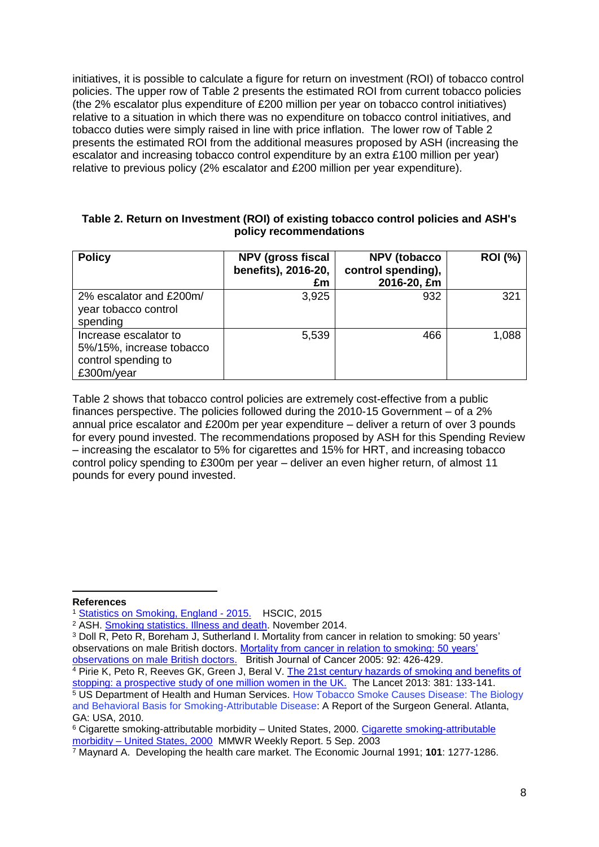initiatives, it is possible to calculate a figure for return on investment (ROI) of tobacco control policies. The upper row of Table 2 presents the estimated ROI from current tobacco policies (the 2% escalator plus expenditure of £200 million per year on tobacco control initiatives) relative to a situation in which there was no expenditure on tobacco control initiatives, and tobacco duties were simply raised in line with price inflation. The lower row of Table 2 presents the estimated ROI from the additional measures proposed by ASH (increasing the escalator and increasing tobacco control expenditure by an extra £100 million per year) relative to previous policy (2% escalator and £200 million per year expenditure).

### **Table 2. Return on Investment (ROI) of existing tobacco control policies and ASH's policy recommendations**

| <b>Policy</b>                                                                          | <b>NPV (gross fiscal</b><br>benefits), 2016-20,<br>£m | <b>NPV</b> (tobacco<br>control spending),<br>2016-20, £m | <b>ROI</b> (%) |
|----------------------------------------------------------------------------------------|-------------------------------------------------------|----------------------------------------------------------|----------------|
| 2% escalator and £200m/<br>year tobacco control<br>spending                            | 3,925                                                 | 932                                                      | 321            |
| Increase escalator to<br>5%/15%, increase tobacco<br>control spending to<br>£300m/year | 5,539                                                 | 466                                                      | 1,088          |

Table 2 shows that tobacco control policies are extremely cost-effective from a public finances perspective. The policies followed during the 2010-15 Government – of a 2% annual price escalator and £200m per year expenditure – deliver a return of over 3 pounds for every pound invested. The recommendations proposed by ASH for this Spending Review – increasing the escalator to 5% for cigarettes and 15% for HRT, and increasing tobacco control policy spending to £300m per year – deliver an even higher return, of almost 11 pounds for every pound invested.

**References**

-

<sup>3</sup> Doll R, Peto R, Boreham J, Sutherland I. Mortality from cancer in relation to smoking: 50 years' observations on male British doctors. [Mortality from cancer in relation to smoking: 50 years'](http://www.bmj.com/content/328/7455/1519)  [observations on male British doctors.](http://www.bmj.com/content/328/7455/1519) British Journal of Cancer 2005: 92: 426-429.

<sup>1</sup> [Statistics on Smoking, England -](http://www.hscic.gov.uk/catalogue/PUB17526) 2015. HSCIC, 2015

<sup>2</sup> ASH. [Smoking statistics. Illness and death.](http://ash.org.uk/files/documents/ASH_107.pdf) November 2014.

<sup>4</sup> Pirie K, Peto R, Reeves GK, Green J, Beral V. The 21st century hazards of smoking and benefits of [stopping: a prospective study of one million women in the UK.](http://www.thelancet.com/journals/lancet/article/PIIS0140-6736(12)61720-6/abstract) The Lancet 2013: 381: 133-141.

<sup>5</sup> US Department of Health and Human Services. How Tobacco Smoke Causes Disease: The Biology and Behavioral Basis for Smoking-Attributable Disease: A Report of the Surgeon General. Atlanta, GA: USA, 2010.

<sup>&</sup>lt;sup>6</sup> [Cigarette smoking-attributable](http://www.cdc.gov/mmwr/preview/mmwrhtml/mm5235a4.htm) morbidity – United States, 2000. Cigarette smoking-attributable morbidity – [United States, 2000](http://www.cdc.gov/mmwr/preview/mmwrhtml/mm5235a4.htm) MMWR Weekly Report. 5 Sep. 2003

<sup>7</sup> Maynard A. Developing the health care market. The Economic Journal 1991; **101**: 1277-1286.